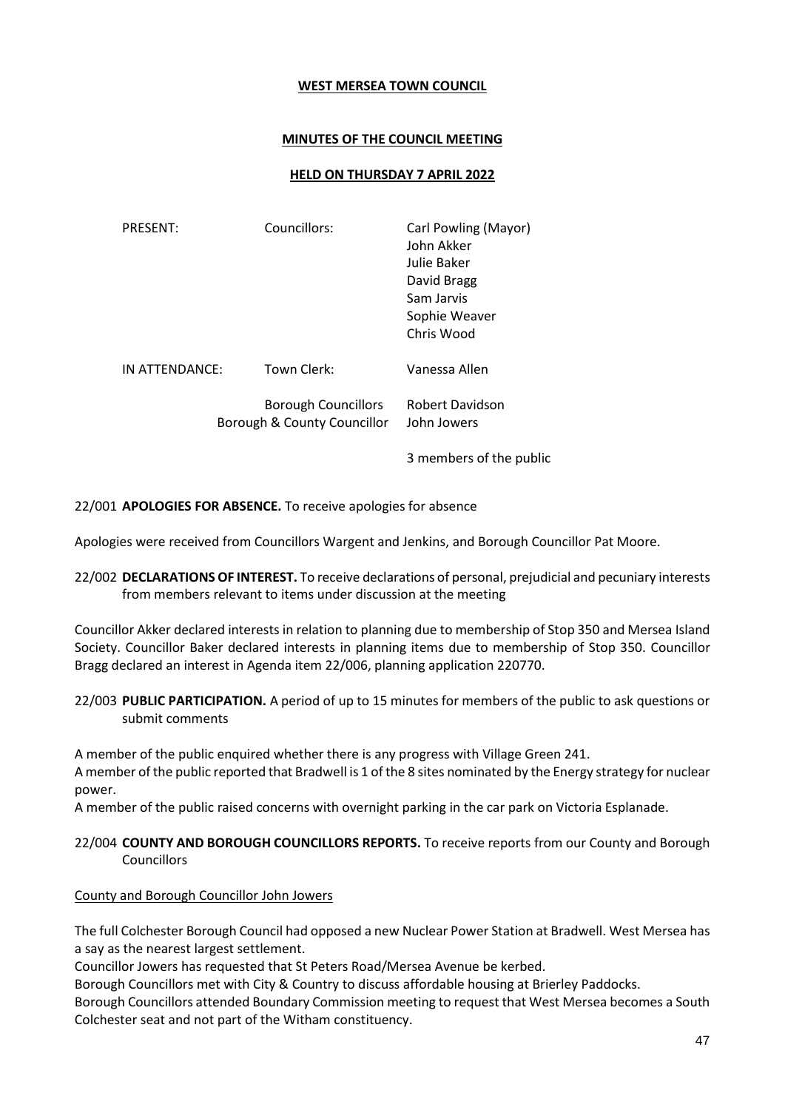## **WEST MERSEA TOWN COUNCIL**

### **MINUTES OF THE COUNCIL MEETING**

## **HELD ON THURSDAY 7 APRIL 2022**

| <b>PRESENT:</b> | Councillors:                                              | Carl Powling (Mayor)<br>John Akker<br>Julie Baker<br>David Bragg<br>Sam Jarvis<br>Sophie Weaver<br>Chris Wood |
|-----------------|-----------------------------------------------------------|---------------------------------------------------------------------------------------------------------------|
| IN ATTENDANCE:  | Town Clerk:                                               | Vanessa Allen                                                                                                 |
|                 | <b>Borough Councillors</b><br>Borough & County Councillor | Robert Davidson<br>John Jowers                                                                                |

3 members of the public

22/001 **APOLOGIES FOR ABSENCE.** To receive apologies for absence

Apologies were received from Councillors Wargent and Jenkins, and Borough Councillor Pat Moore.

22/002 **DECLARATIONS OF INTEREST.** To receive declarations of personal, prejudicial and pecuniary interests from members relevant to items under discussion at the meeting

Councillor Akker declared interests in relation to planning due to membership of Stop 350 and Mersea Island Society. Councillor Baker declared interests in planning items due to membership of Stop 350. Councillor Bragg declared an interest in Agenda item 22/006, planning application 220770.

22/003 **PUBLIC PARTICIPATION.** A period of up to 15 minutes for members of the public to ask questions or submit comments

A member of the public enquired whether there is any progress with Village Green 241.

A member of the public reported that Bradwell is 1 of the 8 sites nominated by the Energy strategy for nuclear power.

A member of the public raised concerns with overnight parking in the car park on Victoria Esplanade.

22/004 **COUNTY AND BOROUGH COUNCILLORS REPORTS.** To receive reports from our County and Borough **Councillors** 

### County and Borough Councillor John Jowers

The full Colchester Borough Council had opposed a new Nuclear Power Station at Bradwell. West Mersea has a say as the nearest largest settlement.

Councillor Jowers has requested that St Peters Road/Mersea Avenue be kerbed.

Borough Councillors met with City & Country to discuss affordable housing at Brierley Paddocks.

Borough Councillors attended Boundary Commission meeting to request that West Mersea becomes a South Colchester seat and not part of the Witham constituency.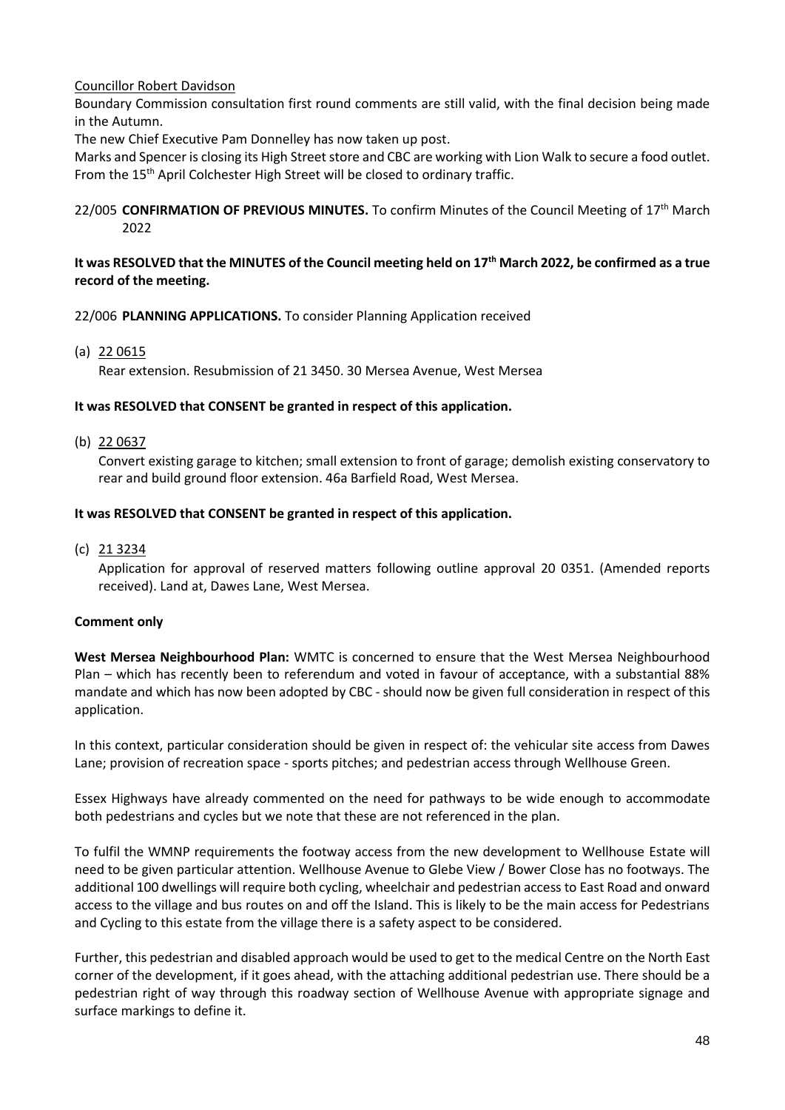# Councillor Robert Davidson

Boundary Commission consultation first round comments are still valid, with the final decision being made in the Autumn.

The new Chief Executive Pam Donnelley has now taken up post.

Marks and Spencer is closing its High Street store and CBC are working with Lion Walk to secure a food outlet. From the 15<sup>th</sup> April Colchester High Street will be closed to ordinary traffic.

### 22/005 **CONFIRMATION OF PREVIOUS MINUTES.** To confirm Minutes of the Council Meeting of 17th March 2022

## **It was RESOLVED that the MINUTES of the Council meeting held on 17th March 2022, be confirmed as a true record of the meeting.**

## 22/006 **PLANNING APPLICATIONS.** To consider Planning Application received

(a) 22 0615

Rear extension. Resubmission of 21 3450. 30 Mersea Avenue, West Mersea

### **It was RESOLVED that CONSENT be granted in respect of this application.**

(b) 22 0637

Convert existing garage to kitchen; small extension to front of garage; demolish existing conservatory to rear and build ground floor extension. 46a Barfield Road, West Mersea.

### **It was RESOLVED that CONSENT be granted in respect of this application.**

(c) 21 3234

Application for approval of reserved matters following outline approval 20 0351. (Amended reports received). Land at, Dawes Lane, West Mersea.

### **Comment only**

**West Mersea Neighbourhood Plan:** WMTC is concerned to ensure that the West Mersea Neighbourhood Plan – which has recently been to referendum and voted in favour of acceptance, with a substantial 88% mandate and which has now been adopted by CBC - should now be given full consideration in respect of this application.

In this context, particular consideration should be given in respect of: the vehicular site access from Dawes Lane; provision of recreation space - sports pitches; and pedestrian access through Wellhouse Green.

Essex Highways have already commented on the need for pathways to be wide enough to accommodate both pedestrians and cycles but we note that these are not referenced in the plan.

To fulfil the WMNP requirements the footway access from the new development to Wellhouse Estate will need to be given particular attention. Wellhouse Avenue to Glebe View / Bower Close has no footways. The additional 100 dwellings will require both cycling, wheelchair and pedestrian access to East Road and onward access to the village and bus routes on and off the Island. This is likely to be the main access for Pedestrians and Cycling to this estate from the village there is a safety aspect to be considered.

Further, this pedestrian and disabled approach would be used to get to the medical Centre on the North East corner of the development, if it goes ahead, with the attaching additional pedestrian use. There should be a pedestrian right of way through this roadway section of Wellhouse Avenue with appropriate signage and surface markings to define it.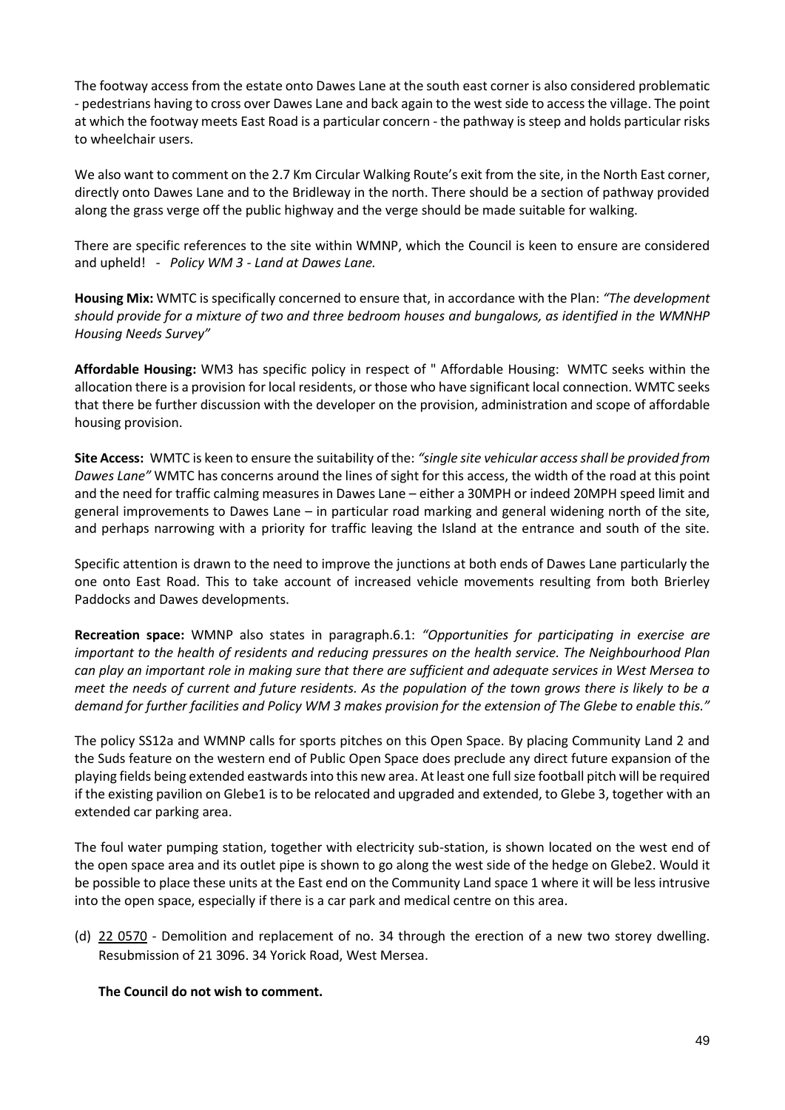The footway access from the estate onto Dawes Lane at the south east corner is also considered problematic - pedestrians having to cross over Dawes Lane and back again to the west side to access the village. The point at which the footway meets East Road is a particular concern - the pathway is steep and holds particular risks to wheelchair users.

We also want to comment on the 2.7 Km Circular Walking Route's exit from the site, in the North East corner, directly onto Dawes Lane and to the Bridleway in the north. There should be a section of pathway provided along the grass verge off the public highway and the verge should be made suitable for walking.

There are specific references to the site within WMNP, which the Council is keen to ensure are considered and upheld! *- Policy WM 3 - Land at Dawes Lane.*

**Housing Mix:** WMTC is specifically concerned to ensure that, in accordance with the Plan: *"The development should provide for a mixture of two and three bedroom houses and bungalows, as identified in the WMNHP Housing Needs Survey"* 

**Affordable Housing:** WM3 has specific policy in respect of " Affordable Housing: WMTC seeks within the allocation there is a provision for local residents, or those who have significant local connection. WMTC seeks that there be further discussion with the developer on the provision, administration and scope of affordable housing provision.

**Site Access:** WMTC is keen to ensure the suitability of the: *"single site vehicular access shall be provided from Dawes Lane"* WMTC has concerns around the lines of sight for this access, the width of the road at this point and the need for traffic calming measures in Dawes Lane – either a 30MPH or indeed 20MPH speed limit and general improvements to Dawes Lane – in particular road marking and general widening north of the site, and perhaps narrowing with a priority for traffic leaving the Island at the entrance and south of the site.

Specific attention is drawn to the need to improve the junctions at both ends of Dawes Lane particularly the one onto East Road. This to take account of increased vehicle movements resulting from both Brierley Paddocks and Dawes developments.

**Recreation space:** WMNP also states in paragraph.6.1: *"Opportunities for participating in exercise are important to the health of residents and reducing pressures on the health service. The Neighbourhood Plan can play an important role in making sure that there are sufficient and adequate services in West Mersea to meet the needs of current and future residents. As the population of the town grows there is likely to be a demand for further facilities and Policy WM 3 makes provision for the extension of The Glebe to enable this."*

The policy SS12a and WMNP calls for sports pitches on this Open Space. By placing Community Land 2 and the Suds feature on the western end of Public Open Space does preclude any direct future expansion of the playing fields being extended eastwards into this new area. At least one full size football pitch will be required if the existing pavilion on Glebe1 is to be relocated and upgraded and extended, to Glebe 3, together with an extended car parking area.

The foul water pumping station, together with electricity sub-station, is shown located on the west end of the open space area and its outlet pipe is shown to go along the west side of the hedge on Glebe2. Would it be possible to place these units at the East end on the Community Land space 1 where it will be less intrusive into the open space, especially if there is a car park and medical centre on this area.

(d) 22 0570 - Demolition and replacement of no. 34 through the erection of a new two storey dwelling. Resubmission of 21 3096. 34 Yorick Road, West Mersea.

### **The Council do not wish to comment.**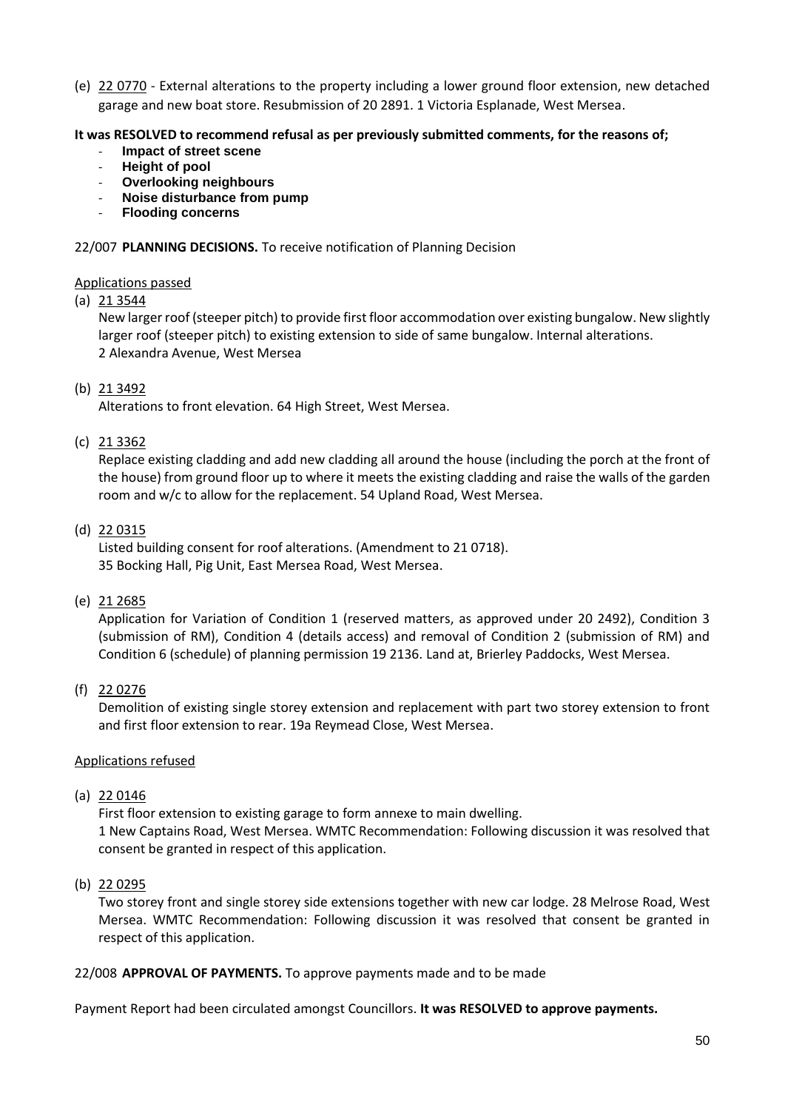(e) 22 0770 - External alterations to the property including a lower ground floor extension, new detached garage and new boat store. Resubmission of 20 2891. 1 Victoria Esplanade, West Mersea.

## **It was RESOLVED to recommend refusal as per previously submitted comments, for the reasons of;**

- **Impact of street scene**
- **Height of pool**
- **Overlooking neighbours**
- **Noise disturbance from pump**
- **Flooding concerns**

## 22/007 **PLANNING DECISIONS.** To receive notification of Planning Decision

## Applications passed

## (a) 21 3544

New larger roof (steeper pitch) to provide first floor accommodation over existing bungalow. New slightly larger roof (steeper pitch) to existing extension to side of same bungalow. Internal alterations. 2 Alexandra Avenue, West Mersea

## (b) 21 3492

Alterations to front elevation. 64 High Street, West Mersea.

## (c) 21 3362

Replace existing cladding and add new cladding all around the house (including the porch at the front of the house) from ground floor up to where it meets the existing cladding and raise the walls of the garden room and w/c to allow for the replacement. 54 Upland Road, West Mersea.

## (d) 22 0315

Listed building consent for roof alterations. (Amendment to 21 0718). 35 Bocking Hall, Pig Unit, East Mersea Road, West Mersea.

### (e) 21 2685

Application for Variation of Condition 1 (reserved matters, as approved under 20 2492), Condition 3 (submission of RM), Condition 4 (details access) and removal of Condition 2 (submission of RM) and Condition 6 (schedule) of planning permission 19 2136. Land at, Brierley Paddocks, West Mersea.

### (f) 22 0276

Demolition of existing single storey extension and replacement with part two storey extension to front and first floor extension to rear. 19a Reymead Close, West Mersea.

# Applications refused

# (a) 22 0146

First floor extension to existing garage to form annexe to main dwelling. 1 New Captains Road, West Mersea. WMTC Recommendation: Following discussion it was resolved that consent be granted in respect of this application.

# (b) 22 0295

Two storey front and single storey side extensions together with new car lodge. 28 Melrose Road, West Mersea. WMTC Recommendation: Following discussion it was resolved that consent be granted in respect of this application.

### 22/008 **APPROVAL OF PAYMENTS.** To approve payments made and to be made

Payment Report had been circulated amongst Councillors. **It was RESOLVED to approve payments.**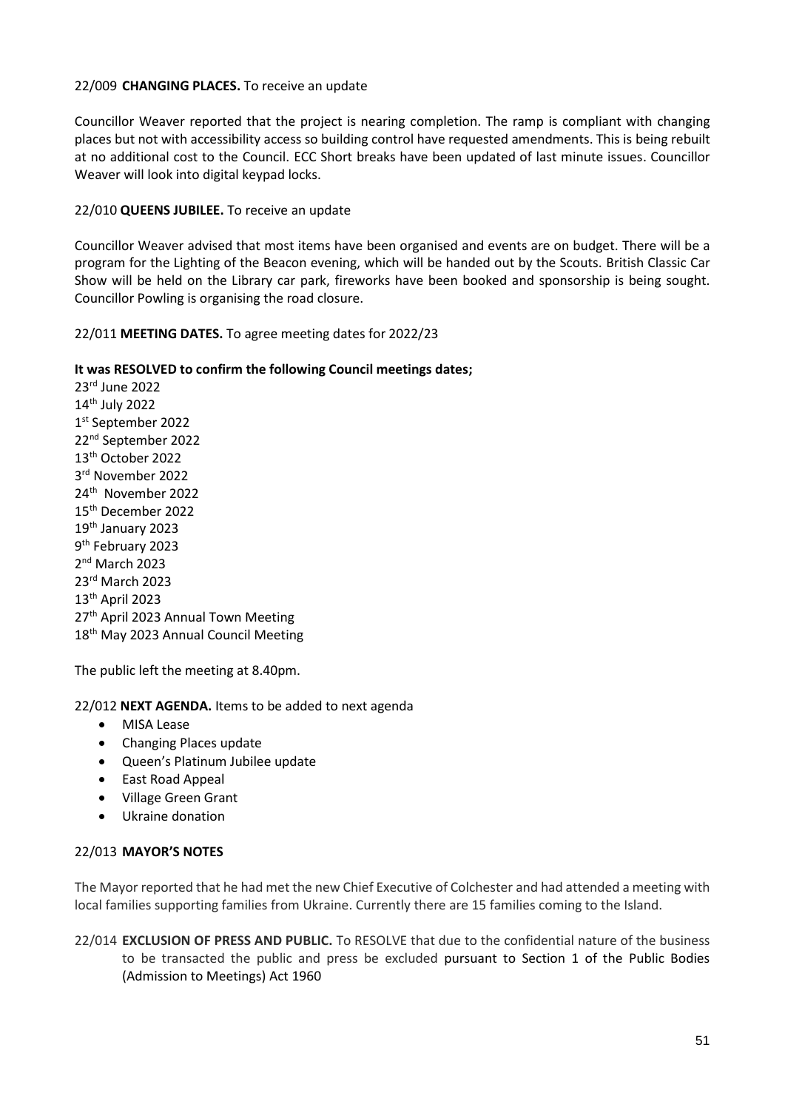### 22/009 **CHANGING PLACES.** To receive an update

Councillor Weaver reported that the project is nearing completion. The ramp is compliant with changing places but not with accessibility access so building control have requested amendments. This is being rebuilt at no additional cost to the Council. ECC Short breaks have been updated of last minute issues. Councillor Weaver will look into digital keypad locks.

## 22/010 **QUEENS JUBILEE.** To receive an update

Councillor Weaver advised that most items have been organised and events are on budget. There will be a program for the Lighting of the Beacon evening, which will be handed out by the Scouts. British Classic Car Show will be held on the Library car park, fireworks have been booked and sponsorship is being sought. Councillor Powling is organising the road closure.

22/011 **MEETING DATES.** To agree meeting dates for 2022/23

## **It was RESOLVED to confirm the following Council meetings dates;**

rd June 2022 th July 2022 st September 2022 nd September 2022 th October 2022 rd November 2022 24<sup>th</sup> November 2022 th December 2022 th January 2023 9<sup>th</sup> February 2023 nd March 2023 rd March 2023 th April 2023 27<sup>th</sup> April 2023 Annual Town Meeting 18<sup>th</sup> May 2023 Annual Council Meeting

The public left the meeting at 8.40pm.

### 22/012 **NEXT AGENDA.** Items to be added to next agenda

- **MISA Lease**
- Changing Places update
- Queen's Platinum Jubilee update
- East Road Appeal
- Village Green Grant
- Ukraine donation

### 22/013 **MAYOR'S NOTES**

The Mayor reported that he had met the new Chief Executive of Colchester and had attended a meeting with local families supporting families from Ukraine. Currently there are 15 families coming to the Island.

22/014 **EXCLUSION OF PRESS AND PUBLIC.** To RESOLVE that due to the confidential nature of the business to be transacted the public and press be excluded pursuant to Section 1 of the Public Bodies (Admission to Meetings) Act 1960